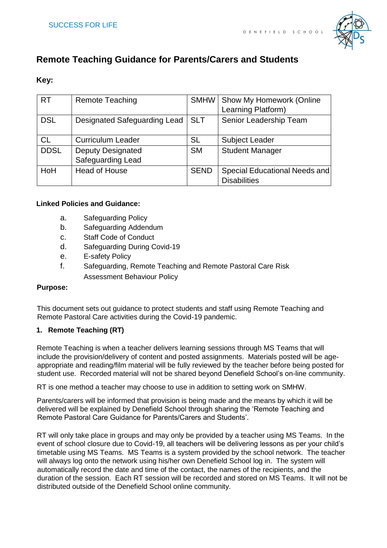

# **Remote Teaching Guidance for Parents/Carers and Students**

## **Key:**

| <b>RT</b>   | <b>Remote Teaching</b>       | <b>SMHW</b> | <b>Show My Homework (Online</b> |
|-------------|------------------------------|-------------|---------------------------------|
|             |                              |             | Learning Platform)              |
| <b>DSL</b>  | Designated Safeguarding Lead | <b>SLT</b>  | Senior Leadership Team          |
| <b>CL</b>   | <b>Curriculum Leader</b>     | <b>SL</b>   | <b>Subject Leader</b>           |
| <b>DDSL</b> | <b>Deputy Designated</b>     | <b>SM</b>   | <b>Student Manager</b>          |
|             | Safeguarding Lead            |             |                                 |
| HoH         | <b>Head of House</b>         | <b>SEND</b> | Special Educational Needs and   |
|             |                              |             | <b>Disabilities</b>             |

## **Linked Policies and Guidance:**

- a. Safeguarding Policy
- b. Safeguarding Addendum
- c. Staff Code of Conduct
- d. Safeguarding During Covid-19
- e. E-safety Policy
- f. Safeguarding, Remote Teaching and Remote Pastoral Care Risk Assessment Behaviour Policy

#### **Purpose:**

This document sets out guidance to protect students and staff using Remote Teaching and Remote Pastoral Care activities during the Covid-19 pandemic.

## **1. Remote Teaching (RT)**

Remote Teaching is when a teacher delivers learning sessions through MS Teams that will include the provision/delivery of content and posted assignments. Materials posted will be ageappropriate and reading/film material will be fully reviewed by the teacher before being posted for student use. Recorded material will not be shared beyond Denefield School's on-line community.

RT is one method a teacher may choose to use in addition to setting work on SMHW.

Parents/carers will be informed that provision is being made and the means by which it will be delivered will be explained by Denefield School through sharing the 'Remote Teaching and Remote Pastoral Care Guidance for Parents/Carers and Students'.

RT will only take place in groups and may only be provided by a teacher using MS Teams. In the event of school closure due to Covid-19, all teachers will be delivering lessons as per your child's timetable using MS Teams. MS Teams is a system provided by the school network. The teacher will always log onto the network using his/her own Denefield School log in. The system will automatically record the date and time of the contact, the names of the recipients, and the duration of the session. Each RT session will be recorded and stored on MS Teams. It will not be distributed outside of the Denefield School online community.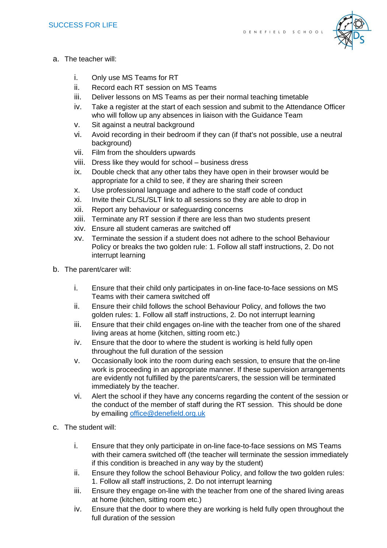

- a. The teacher will:
	- i. Only use MS Teams for RT
	- ii. Record each RT session on MS Teams
	- iii. Deliver lessons on MS Teams as per their normal teaching timetable
	- iv. Take a register at the start of each session and submit to the Attendance Officer who will follow up any absences in liaison with the Guidance Team
	- v. Sit against a neutral background
	- vi. Avoid recording in their bedroom if they can (if that's not possible, use a neutral background)
	- vii. Film from the shoulders upwards
	- viii. Dress like they would for school business dress
	- ix. Double check that any other tabs they have open in their browser would be appropriate for a child to see, if they are sharing their screen
	- x. Use professional language and adhere to the staff code of conduct
	- xi. Invite their CL/SL/SLT link to all sessions so they are able to drop in
	- xii. Report any behaviour or safeguarding concerns
	- xiii. Terminate any RT session if there are less than two students present
	- xiv. Ensure all student cameras are switched off
	- xv. Terminate the session if a student does not adhere to the school Behaviour Policy or breaks the two golden rule: 1. Follow all staff instructions, 2. Do not interrupt learning
- b. The parent/carer will:
	- i. Ensure that their child only participates in on-line face-to-face sessions on MS Teams with their camera switched off
	- ii. Ensure their child follows the school Behaviour Policy, and follows the two golden rules: 1. Follow all staff instructions, 2. Do not interrupt learning
	- iii. Ensure that their child engages on-line with the teacher from one of the shared living areas at home (kitchen, sitting room etc.)
	- iv. Ensure that the door to where the student is working is held fully open throughout the full duration of the session
	- v. Occasionally look into the room during each session, to ensure that the on-line work is proceeding in an appropriate manner. If these supervision arrangements are evidently not fulfilled by the parents/carers, the session will be terminated immediately by the teacher.
	- vi. Alert the school if they have any concerns regarding the content of the session or the conduct of the member of staff during the RT session. This should be done by emailing office@denefield.org.uk
- c. The student will:
	- i. Ensure that they only participate in on-line face-to-face sessions on MS Teams with their camera switched off (the teacher will terminate the session immediately if this condition is breached in any way by the student)
	- ii. Ensure they follow the school Behaviour Policy, and follow the two golden rules: 1. Follow all staff instructions, 2. Do not interrupt learning
	- iii. Ensure they engage on-line with the teacher from one of the shared living areas at home (kitchen, sitting room etc.)
	- iv. Ensure that the door to where they are working is held fully open throughout the full duration of the session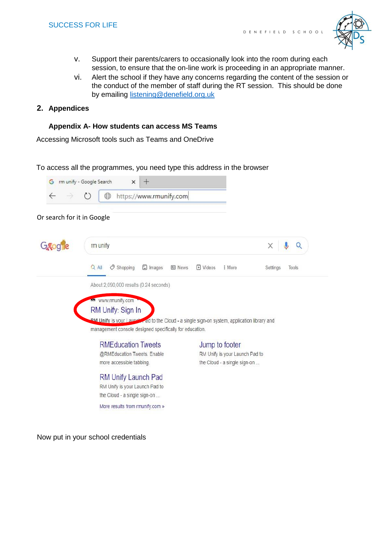

- v. Support their parents/carers to occasionally look into the room during each session, to ensure that the on-line work is proceeding in an appropriate manner.
- vi. Alert the school if they have any concerns regarding the content of the session or the conduct of the member of staff during the RT session. This should be done by emailing listening@denefield.org.uk

## **2. Appendices**

#### **Appendix A- How students can access MS Teams**

Accessing Microsoft tools such as Teams and OneDrive

#### To access all the programmes, you need type this address in the browser



Now put in your school credentials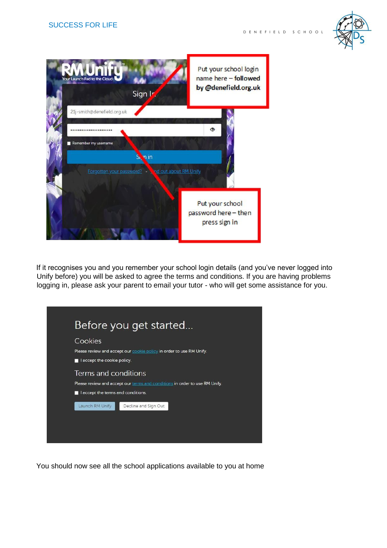



If it recognises you and you remember your school login details (and you've never logged into Unify before) you will be asked to agree the terms and conditions. If you are having problems logging in, please ask your parent to email your tutor - who will get some assistance for you.

|                                                                                                                                           | Before you get started                                                      |  |  |  |  |  |
|-------------------------------------------------------------------------------------------------------------------------------------------|-----------------------------------------------------------------------------|--|--|--|--|--|
| Cookies<br>I accept the cookie policy.                                                                                                    | Please review and accept our <b>cookie policy</b> in order to use RM Unify. |  |  |  |  |  |
| Terms and conditions<br>Please review and accept our terms and conditions in order to use RM Unify.<br>I accept the terms and conditions. |                                                                             |  |  |  |  |  |
| Decline and Sign Out<br>Launch RM Unify                                                                                                   |                                                                             |  |  |  |  |  |
|                                                                                                                                           |                                                                             |  |  |  |  |  |

You should now see all the school applications available to you at home